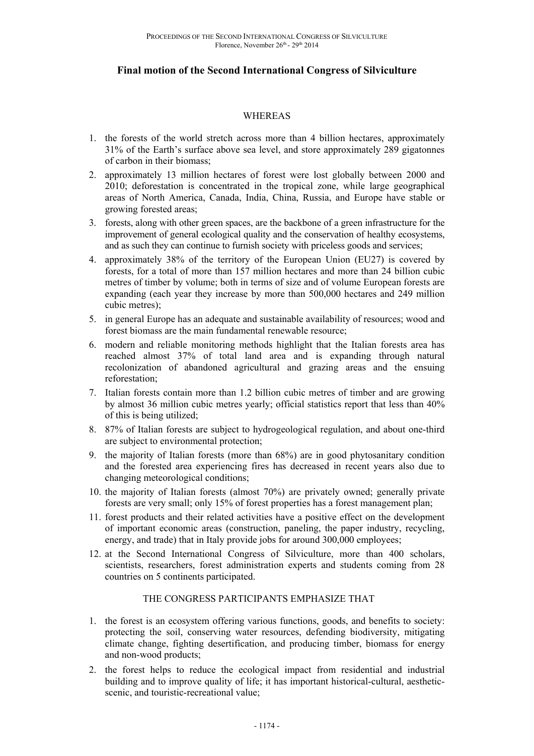# **Final motion of the Second International Congress of Silviculture**

#### WHEREAS

- 1. the forests of the world stretch across more than 4 billion hectares, approximately 31% of the Earth's surface above sea level, and store approximately 289 gigatonnes of carbon in their biomass;
- 2. approximately 13 million hectares of forest were lost globally between 2000 and 2010; deforestation is concentrated in the tropical zone, while large geographical areas of North America, Canada, India, China, Russia, and Europe have stable or growing forested areas;
- 3. forests, along with other green spaces, are the backbone of a green infrastructure for the improvement of general ecological quality and the conservation of healthy ecosystems, and as such they can continue to furnish society with priceless goods and services;
- 4. approximately 38% of the territory of the European Union (EU27) is covered by forests, for a total of more than 157 million hectares and more than 24 billion cubic metres of timber by volume; both in terms of size and of volume European forests are expanding (each year they increase by more than 500,000 hectares and 249 million cubic metres);
- 5. in general Europe has an adequate and sustainable availability of resources; wood and forest biomass are the main fundamental renewable resource;
- 6. modern and reliable monitoring methods highlight that the Italian forests area has reached almost 37% of total land area and is expanding through natural recolonization of abandoned agricultural and grazing areas and the ensuing reforestation;
- 7. Italian forests contain more than 1.2 billion cubic metres of timber and are growing by almost 36 million cubic metres yearly; official statistics report that less than 40% of this is being utilized;
- 8. 87% of Italian forests are subject to hydrogeological regulation, and about one-third are subject to environmental protection;
- 9. the majority of Italian forests (more than 68%) are in good phytosanitary condition and the forested area experiencing fires has decreased in recent years also due to changing meteorological conditions;
- 10. the majority of Italian forests (almost 70%) are privately owned; generally private forests are very small; only 15% of forest properties has a forest management plan;
- 11. forest products and their related activities have a positive effect on the development of important economic areas (construction, paneling, the paper industry, recycling, energy, and trade) that in Italy provide jobs for around 300,000 employees;
- 12. at the Second International Congress of Silviculture, more than 400 scholars, scientists, researchers, forest administration experts and students coming from 28 countries on 5 continents participated.

### THE CONGRESS PARTICIPANTS EMPHASIZE THAT

- 1. the forest is an ecosystem offering various functions, goods, and benefits to society: protecting the soil, conserving water resources, defending biodiversity, mitigating climate change, fighting desertification, and producing timber, biomass for energy and non-wood products;
- 2. the forest helps to reduce the ecological impact from residential and industrial building and to improve quality of life; it has important historical-cultural, aestheticscenic, and touristic-recreational value;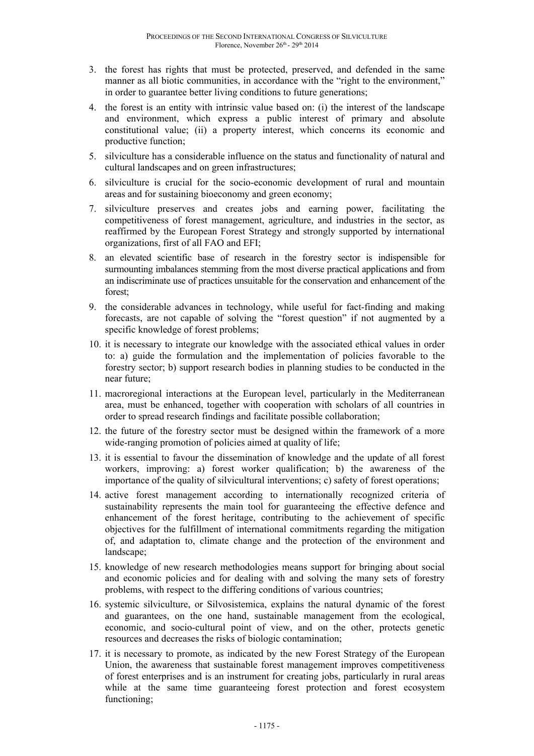- 3. the forest has rights that must be protected, preserved, and defended in the same manner as all biotic communities, in accordance with the "right to the environment," in order to guarantee better living conditions to future generations;
- 4. the forest is an entity with intrinsic value based on: (i) the interest of the landscape and environment, which express a public interest of primary and absolute constitutional value; (ii) a property interest, which concerns its economic and productive function;
- 5. silviculture has a considerable influence on the status and functionality of natural and cultural landscapes and on green infrastructures;
- 6. silviculture is crucial for the socio-economic development of rural and mountain areas and for sustaining bioeconomy and green economy;
- 7. silviculture preserves and creates jobs and earning power, facilitating the competitiveness of forest management, agriculture, and industries in the sector, as reaffirmed by the European Forest Strategy and strongly supported by international organizations, first of all FAO and EFI;
- 8. an elevated scientific base of research in the forestry sector is indispensible for surmounting imbalances stemming from the most diverse practical applications and from an indiscriminate use of practices unsuitable for the conservation and enhancement of the forest;
- 9. the considerable advances in technology, while useful for fact-finding and making forecasts, are not capable of solving the "forest question" if not augmented by a specific knowledge of forest problems;
- 10. it is necessary to integrate our knowledge with the associated ethical values in order to: a) guide the formulation and the implementation of policies favorable to the forestry sector; b) support research bodies in planning studies to be conducted in the near future;
- 11. macroregional interactions at the European level, particularly in the Mediterranean area, must be enhanced, together with cooperation with scholars of all countries in order to spread research findings and facilitate possible collaboration;
- 12. the future of the forestry sector must be designed within the framework of a more wide-ranging promotion of policies aimed at quality of life;
- 13. it is essential to favour the dissemination of knowledge and the update of all forest workers, improving: a) forest worker qualification; b) the awareness of the importance of the quality of silvicultural interventions; c) safety of forest operations;
- 14. active forest management according to internationally recognized criteria of sustainability represents the main tool for guaranteeing the effective defence and enhancement of the forest heritage, contributing to the achievement of specific objectives for the fulfillment of international commitments regarding the mitigation of, and adaptation to, climate change and the protection of the environment and landscape;
- 15. knowledge of new research methodologies means support for bringing about social and economic policies and for dealing with and solving the many sets of forestry problems, with respect to the differing conditions of various countries;
- 16. systemic silviculture, or Silvosistemica, explains the natural dynamic of the forest and guarantees, on the one hand, sustainable management from the ecological, economic, and socio-cultural point of view, and on the other, protects genetic resources and decreases the risks of biologic contamination;
- 17. it is necessary to promote, as indicated by the new Forest Strategy of the European Union, the awareness that sustainable forest management improves competitiveness of forest enterprises and is an instrument for creating jobs, particularly in rural areas while at the same time guaranteeing forest protection and forest ecosystem functioning;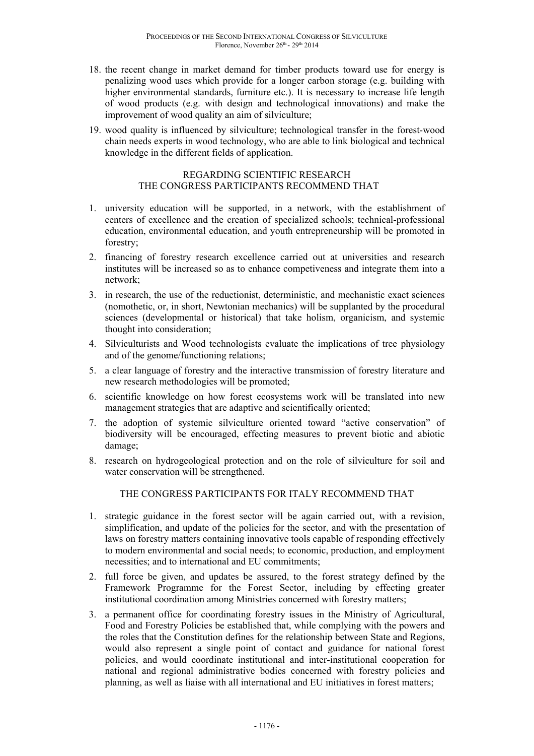- 18. the recent change in market demand for timber products toward use for energy is penalizing wood uses which provide for a longer carbon storage (e.g. building with higher environmental standards, furniture etc.). It is necessary to increase life length of wood products (e.g. with design and technological innovations) and make the improvement of wood quality an aim of silviculture;
- 19. wood quality is influenced by silviculture; technological transfer in the forest-wood chain needs experts in wood technology, who are able to link biological and technical knowledge in the different fields of application.

### REGARDING SCIENTIFIC RESEARCH THE CONGRESS PARTICIPANTS RECOMMEND THAT

- 1. university education will be supported, in a network, with the establishment of centers of excellence and the creation of specialized schools; technical-professional education, environmental education, and youth entrepreneurship will be promoted in forestry;
- 2. financing of forestry research excellence carried out at universities and research institutes will be increased so as to enhance competiveness and integrate them into a network;
- 3. in research, the use of the reductionist, deterministic, and mechanistic exact sciences (nomothetic, or, in short, Newtonian mechanics) will be supplanted by the procedural sciences (developmental or historical) that take holism, organicism, and systemic thought into consideration;
- 4. Silviculturists and Wood technologists evaluate the implications of tree physiology and of the genome/functioning relations;
- 5. a clear language of forestry and the interactive transmission of forestry literature and new research methodologies will be promoted;
- 6. scientific knowledge on how forest ecosystems work will be translated into new management strategies that are adaptive and scientifically oriented;
- 7. the adoption of systemic silviculture oriented toward "active conservation" of biodiversity will be encouraged, effecting measures to prevent biotic and abiotic damage;
- 8. research on hydrogeological protection and on the role of silviculture for soil and water conservation will be strengthened.

## THE CONGRESS PARTICIPANTS FOR ITALY RECOMMEND THAT

- 1. strategic guidance in the forest sector will be again carried out, with a revision, simplification, and update of the policies for the sector, and with the presentation of laws on forestry matters containing innovative tools capable of responding effectively to modern environmental and social needs; to economic, production, and employment necessities; and to international and EU commitments;
- 2. full force be given, and updates be assured, to the forest strategy defined by the Framework Programme for the Forest Sector, including by effecting greater institutional coordination among Ministries concerned with forestry matters;
- 3. a permanent office for coordinating forestry issues in the Ministry of Agricultural, Food and Forestry Policies be established that, while complying with the powers and the roles that the Constitution defines for the relationship between State and Regions, would also represent a single point of contact and guidance for national forest policies, and would coordinate institutional and inter-institutional cooperation for national and regional administrative bodies concerned with forestry policies and planning, as well as liaise with all international and EU initiatives in forest matters;